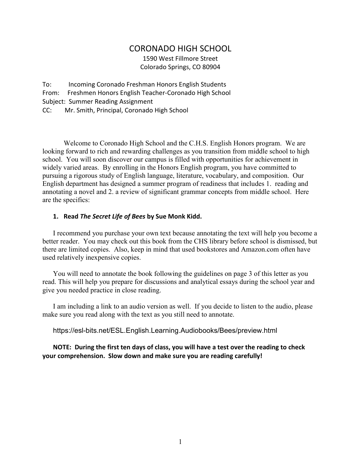# CORONADO HIGH SCHOOL

1590 West Fillmore Street Colorado Springs, CO 80904

To: Incoming Coronado Freshman Honors English Students From: Freshmen Honors English Teacher-Coronado High School Subject: Summer Reading Assignment CC: Mr. Smith, Principal, Coronado High School

Welcome to Coronado High School and the C.H.S. English Honors program. We are looking forward to rich and rewarding challenges as you transition from middle school to high school. You will soon discover our campus is filled with opportunities for achievement in widely varied areas. By enrolling in the Honors English program, you have committed to pursuing a rigorous study of English language, literature, vocabulary, and composition. Our English department has designed a summer program of readiness that includes 1. reading and annotating a novel and 2. a review of significant grammar concepts from middle school. Here are the specifics:

## **1. Read** *The Secret Life of Bees* **by Sue Monk Kidd.**

I recommend you purchase your own text because annotating the text will help you become a better reader. You may check out this book from the CHS library before school is dismissed, but there are limited copies. Also, keep in mind that used bookstores and Amazon.com often have used relatively inexpensive copies.

You will need to annotate the book following the guidelines on page 3 of this letter as you read. This will help you prepare for discussions and analytical essays during the school year and give you needed practice in close reading.

I am including a link to an audio version as well. If you decide to listen to the audio, please make sure you read along with the text as you still need to annotate.

https://esl-bits.net/ESL.English.Learning.Audiobooks/Bees/preview.html

**NOTE: During the first ten days of class, you will have a test over the reading to check your comprehension. Slow down and make sure you are reading carefully!**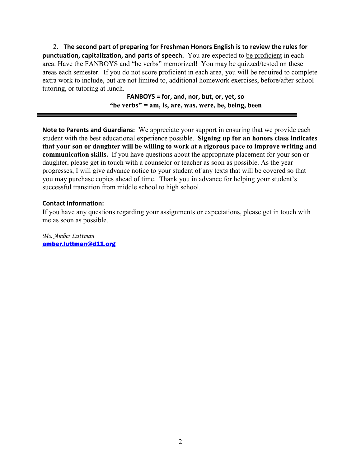2. **The second part of preparing for Freshman Honors English is to review the rules for punctuation, capitalization, and parts of speech.** You are expected to be proficient in each area. Have the FANBOYS and "be verbs" memorized! You may be quizzed/tested on these areas each semester. If you do not score proficient in each area, you will be required to complete extra work to include, but are not limited to, additional homework exercises, before/after school tutoring, or tutoring at lunch.

> **FANBOYS = for, and, nor, but, or, yet, so "be verbs" = am, is, are, was, were, be, being, been**

**Note to Parents and Guardians:** We appreciate your support in ensuring that we provide each student with the best educational experience possible. **Signing up for an honors class indicates that your son or daughter will be willing to work at a rigorous pace to improve writing and communication skills.** If you have questions about the appropriate placement for your son or daughter, please get in touch with a counselor or teacher as soon as possible. As the year progresses, I will give advance notice to your student of any texts that will be covered so that you may purchase copies ahead of time. Thank you in advance for helping your student's successful transition from middle school to high school.

# **Contact Information:**

If you have any questions regarding your assignments or expectations, please get in touch with me as soon as possible.

*Ms. Amber Luttman* [amber.luttman@d11.org](mailto:edmunrs@d11.org)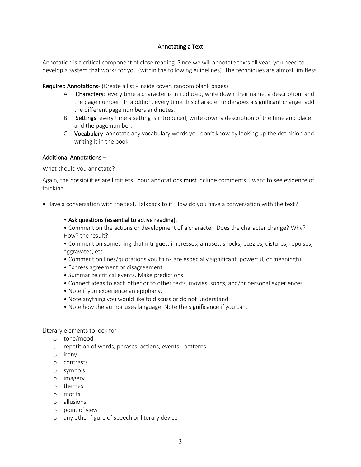### Annotating a Text

Annotation is a critical component of close reading. Since we will annotate texts all year, you need to develop a system that works for you (within the following guidelines). The techniques are almost limitless.

Required Annotations- (Create a list - inside cover, random blank pages)

- A. Characters: every time a character is introduced, write down their name, a description, and the page number. In addition, every time this character undergoes a significant change, add the different page numbers and notes.
- B. Settings: every time a setting is introduced, write down a description of the time and place and the page number.
- C. Vocabulary: annotate any vocabulary words you don't know by looking up the definition and writing it in the book.

### Additional Annotations –

What should you annotate?

Again, the possibilities are limitless. Your annotations **must** include comments. I want to see evidence of thinking.

• Have a conversation with the text. Talkback to it. How do you have a conversation with the text?

#### • Ask questions (essential to active reading).

• Comment on the actions or development of a character. Does the character change? Why? How? the result?

• Comment on something that intrigues, impresses, amuses, shocks, puzzles, disturbs, repulses, aggravates, etc.

- Comment on lines/quotations you think are especially significant, powerful, or meaningful.
- Express agreement or disagreement.
- Summarize critical events. Make predictions.
- Connect ideas to each other or to other texts, movies, songs, and/or personal experiences.
- Note if you experience an epiphany.
- Note anything you would like to discuss or do not understand.
- Note how the author uses language. Note the significance if you can.

Literary elements to look for-

- o tone/mood
- o repetition of words, phrases, actions, events patterns
- o irony
- o contrasts
- o symbols
- o imagery
- o themes
- o motifs
- o allusions
- o point of view
- o any other figure of speech or literary device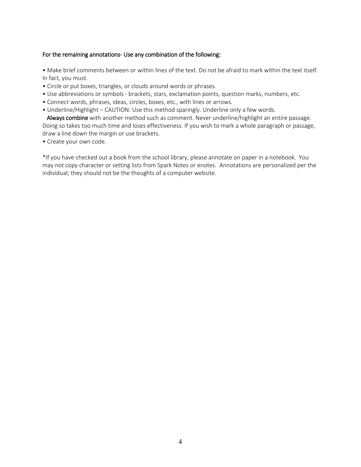### For the remaining annotations- Use any combination of the following:

• Make brief comments between or within lines of the text. Do not be afraid to mark within the text itself. In fact, you must.

- Circle or put boxes, triangles, or clouds around words or phrases.
- Use abbreviations or symbols brackets, stars, exclamation points, question marks, numbers, etc.
- Connect words, phrases, ideas, circles, boxes, etc., with lines or arrows.
- Underline/Highlight CAUTION: Use this method sparingly. Underline only a few words.

 Always combine with another method such as comment. Never underline/highlight an entire passage. Doing so takes too much time and loses effectiveness. If you wish to mark a whole paragraph or passage, draw a line down the margin or use brackets.

• Create your own code.

\*If you have checked out a book from the school library, please annotate on paper in a notebook. You may not copy character or setting lists from Spark Notes or enotes. Annotations are personalized per the individual; they should not be the thoughts of a computer website.